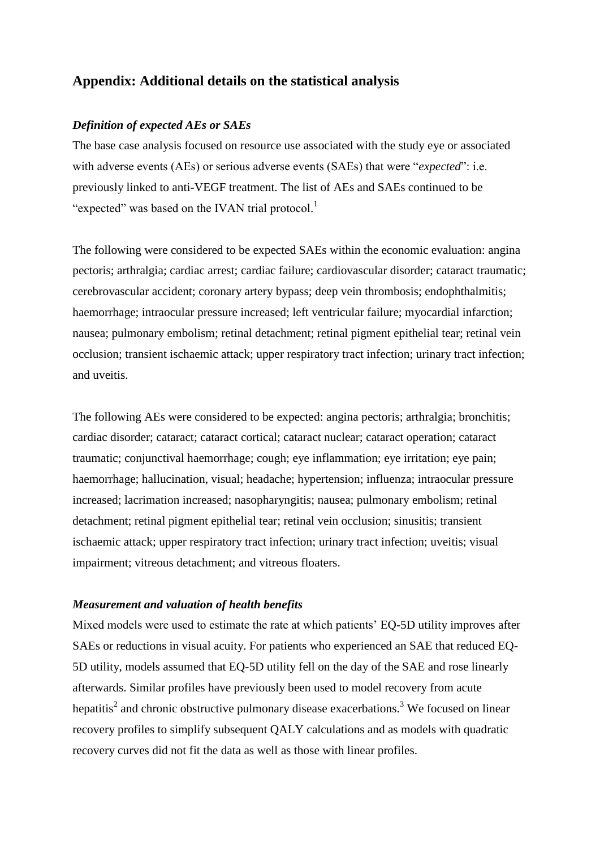# **Appendix: Additional details on the statistical analysis**

#### *Definition of expected AEs or SAEs*

The base case analysis focused on resource use associated with the study eye or associated with adverse events (AEs) or serious adverse events (SAEs) that were "*expected*": i.e. previously linked to anti-VEGF treatment. The list of AEs and SAEs continued to be "expected" was based on the IVAN trial protocol.<sup>[1](#page-4-0)</sup>

The following were considered to be expected SAEs within the economic evaluation: angina pectoris; arthralgia; cardiac arrest; cardiac failure; cardiovascular disorder; cataract traumatic; cerebrovascular accident; coronary artery bypass; deep vein thrombosis; endophthalmitis; haemorrhage; intraocular pressure increased; left ventricular failure; myocardial infarction; nausea; pulmonary embolism; retinal detachment; retinal pigment epithelial tear; retinal vein occlusion; transient ischaemic attack; upper respiratory tract infection; urinary tract infection; and uveitis.

The following AEs were considered to be expected: angina pectoris; arthralgia; bronchitis; cardiac disorder; cataract; cataract cortical; cataract nuclear; cataract operation; cataract traumatic; conjunctival haemorrhage; cough; eye inflammation; eye irritation; eye pain; haemorrhage; hallucination, visual; headache; hypertension; influenza; intraocular pressure increased; lacrimation increased; nasopharyngitis; nausea; pulmonary embolism; retinal detachment; retinal pigment epithelial tear; retinal vein occlusion; sinusitis; transient ischaemic attack; upper respiratory tract infection; urinary tract infection; uveitis; visual impairment; vitreous detachment; and vitreous floaters.

#### *Measurement and valuation of health benefits*

Mixed models were used to estimate the rate at which patients' EQ-5D utility improves after SAEs or reductions in visual acuity. For patients who experienced an SAE that reduced EQ-5D utility, models assumed that EQ-5D utility fell on the day of the SAE and rose linearly afterwards. Similar profiles have previously been used to model recovery from acute hepatiti[s](#page-4-1)<sup>2</sup> and chronic obstructive pulmonary disease exacerbations.<sup>[3](#page-4-2)</sup> We focused on linear recovery profiles to simplify subsequent QALY calculations and as models with quadratic recovery curves did not fit the data as well as those with linear profiles.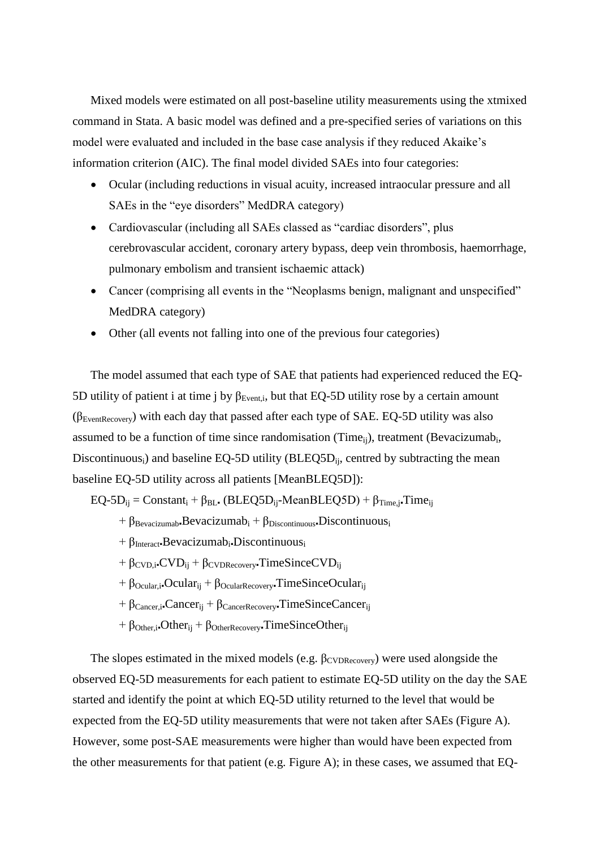Mixed models were estimated on all post-baseline utility measurements using the xtmixed command in Stata. A basic model was defined and a pre-specified series of variations on this model were evaluated and included in the base case analysis if they reduced Akaike's information criterion (AIC). The final model divided SAEs into four categories:

- Ocular (including reductions in visual acuity, increased intraocular pressure and all SAEs in the "eye disorders" MedDRA category)
- Cardiovascular (including all SAEs classed as "cardiac disorders", plus cerebrovascular accident, coronary artery bypass, deep vein thrombosis, haemorrhage, pulmonary embolism and transient ischaemic attack)
- Cancer (comprising all events in the "Neoplasms benign, malignant and unspecified" MedDRA category)
- Other (all events not falling into one of the previous four categories)

The model assumed that each type of SAE that patients had experienced reduced the EQ-5D utility of patient i at time j by  $\beta_{Event,i}$ , but that EQ-5D utility rose by a certain amount  $(\beta_{EventRecovery})$  with each day that passed after each type of SAE. EQ-5D utility was also assumed to be a function of time since randomisation (Time $_{ij}$ ), treatment (Bevacizumab<sub>i</sub>, Discontinuous<sub>i</sub>) and baseline EQ-5D utility (BLEQ5D<sub>ii</sub>, centred by subtracting the mean baseline EQ-5D utility across all patients [MeanBLEQ5D]):

 $EQ-5D_{ii} = Constant_i + \beta_{BL}.$  (BLEQ5D<sub>ij</sub>-MeanBLEQ5D) +  $\beta_{Time,i}$ . Time<sub>ij</sub>

- $+ \beta_{\text{Bevacizumab}}$ Bevacizumab<sub>i</sub> +  $\beta_{\text{Discontinuous}}$ Discontinuous<sub>i</sub>
- $+ \beta_{\text{Interact}}$ ·Bevacizumab<sub>i</sub>·Discontinuous<sub>i</sub>
- $+ \beta_{\text{CVD},i\text{-CVD}} + \beta_{\text{CVDRecovery}}$ TimeSinceCVD<sub>ii</sub>
- $+ \beta_{\text{Ocular},i}$  Ocular<sub>ij</sub> +  $\beta_{\text{OcularRecovery}}$  TimeSinceOcular<sub>ij</sub>
- $+ \beta_{\text{Cancer},i}$ •Cancer<sub>ii</sub> +  $\beta_{\text{CancerRecovery}}$ •TimeSinceCancer<sub>ii</sub>
- $+ \beta_{Other,i}$ **Other**<sub>ij</sub> +  $\beta_{Other Recovery}$ **TimeSinceOther**<sub>ij</sub>

The slopes estimated in the mixed models (e.g.  $\beta_{\text{CVDRecovery}}$ ) were used alongside the observed EQ-5D measurements for each patient to estimate EQ-5D utility on the day the SAE started and identify the point at which EQ-5D utility returned to the level that would be expected from the EQ-5D utility measurements that were not taken after SAEs (Figure A). However, some post-SAE measurements were higher than would have been expected from the other measurements for that patient (e.g. Figure A); in these cases, we assumed that EQ-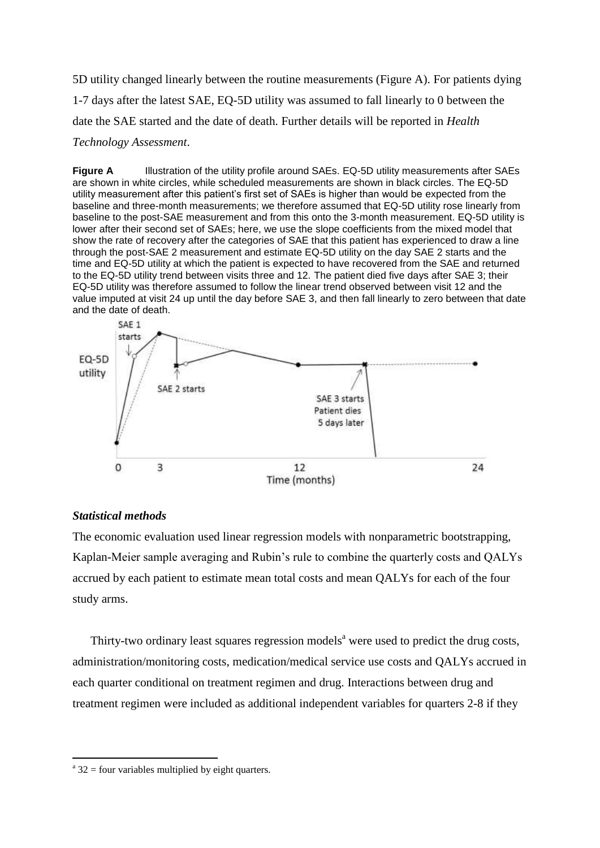5D utility changed linearly between the routine measurements (Figure A). For patients dying 1-7 days after the latest SAE, EQ-5D utility was assumed to fall linearly to 0 between the date the SAE started and the date of death. Further details will be reported in *Health Technology Assessment*.

**Figure A** Illustration of the utility profile around SAEs. EQ-5D utility measurements after SAEs are shown in white circles, while scheduled measurements are shown in black circles. The EQ-5D utility measurement after this patient's first set of SAEs is higher than would be expected from the baseline and three-month measurements; we therefore assumed that EQ-5D utility rose linearly from baseline to the post-SAE measurement and from this onto the 3-month measurement. EQ-5D utility is lower after their second set of SAEs; here, we use the slope coefficients from the mixed model that show the rate of recovery after the categories of SAE that this patient has experienced to draw a line through the post-SAE 2 measurement and estimate EQ-5D utility on the day SAE 2 starts and the time and EQ-5D utility at which the patient is expected to have recovered from the SAE and returned to the EQ-5D utility trend between visits three and 12. The patient died five days after SAE 3; their EQ-5D utility was therefore assumed to follow the linear trend observed between visit 12 and the value imputed at visit 24 up until the day before SAE 3, and then fall linearly to zero between that date and the date of death.



### *Statistical methods*

1

The economic evaluation used linear regression models with nonparametric bootstrapping, Kaplan-Meier sample averaging and Rubin's rule to combine the quarterly costs and QALYs accrued by each patient to estimate mean total costs and mean QALYs for each of the four study arms.

Thirty-two ordinary least squares regression models<sup>a</sup> were used to predict the drug costs, administration/monitoring costs, medication/medical service use costs and QALYs accrued in each quarter conditional on treatment regimen and drug. Interactions between drug and treatment regimen were included as additional independent variables for quarters 2-8 if they

 $a^{a}$  32 = four variables multiplied by eight quarters.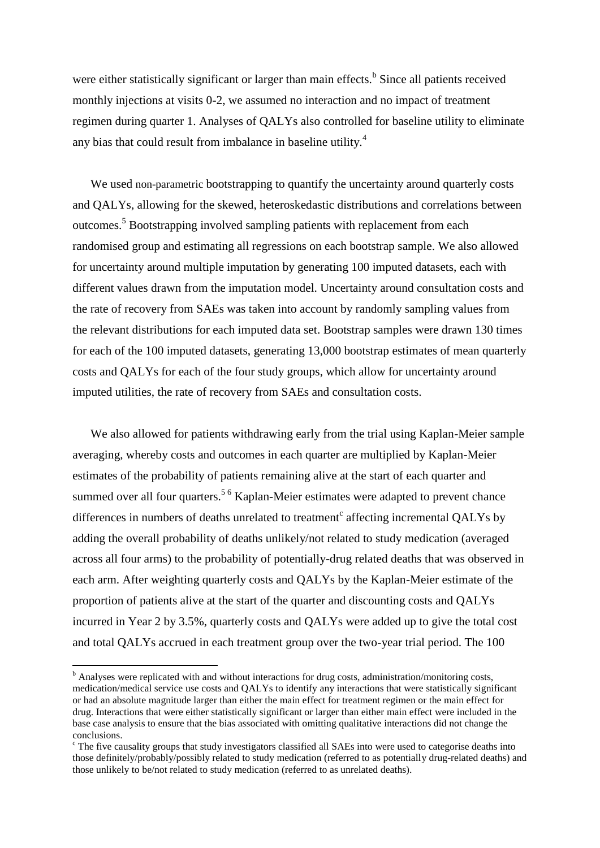were either statistically significant or larger than main effects.<sup>b</sup> Since all patients received monthly injections at visits 0-2, we assumed no interaction and no impact of treatment regimen during quarter 1. Analyses of QALYs also controlled for baseline utility to eliminate any bias that could result from imbalance in baseline utility.[4](#page-4-3)

We used non-parametric bootstrapping to quantify the uncertainty around quarterly costs and QALYs, allowing for the skewed, heteroskedastic distributions and correlations between outcomes.[5](#page-4-4) Bootstrapping involved sampling patients with replacement from each randomised group and estimating all regressions on each bootstrap sample. We also allowed for uncertainty around multiple imputation by generating 100 imputed datasets, each with different values drawn from the imputation model. Uncertainty around consultation costs and the rate of recovery from SAEs was taken into account by randomly sampling values from the relevant distributions for each imputed data set. Bootstrap samples were drawn 130 times for each of the 100 imputed datasets, generating 13,000 bootstrap estimates of mean quarterly costs and QALYs for each of the four study groups, which allow for uncertainty around imputed utilities, the rate of recovery from SAEs and consultation costs.

We also allowed for patients withdrawing early from the trial using Kaplan-Meier sample averaging, whereby costs and outcomes in each quarter are multiplied by Kaplan-Meier estimates of the probability of patients remaining alive at the start of each quarter and summed over all four quarters[.](#page-4-4)<sup>5[6](#page-4-5)</sup> Kaplan-Meier estimates were adapted to prevent chance differences in numbers of deaths unrelated to treatment<sup>c</sup> affecting incremental QALYs by adding the overall probability of deaths unlikely/not related to study medication (averaged across all four arms) to the probability of potentially-drug related deaths that was observed in each arm. After weighting quarterly costs and QALYs by the Kaplan-Meier estimate of the proportion of patients alive at the start of the quarter and discounting costs and QALYs incurred in Year 2 by 3.5%, quarterly costs and QALYs were added up to give the total cost and total QALYs accrued in each treatment group over the two-year trial period. The 100

<u>.</u>

<sup>&</sup>lt;sup>b</sup> Analyses were replicated with and without interactions for drug costs, administration/monitoring costs, medication/medical service use costs and QALYs to identify any interactions that were statistically significant or had an absolute magnitude larger than either the main effect for treatment regimen or the main effect for drug. Interactions that were either statistically significant or larger than either main effect were included in the base case analysis to ensure that the bias associated with omitting qualitative interactions did not change the conclusions.

 $\epsilon$  The five causality groups that study investigators classified all SAEs into were used to categorise deaths into those definitely/probably/possibly related to study medication (referred to as potentially drug-related deaths) and those unlikely to be/not related to study medication (referred to as unrelated deaths).